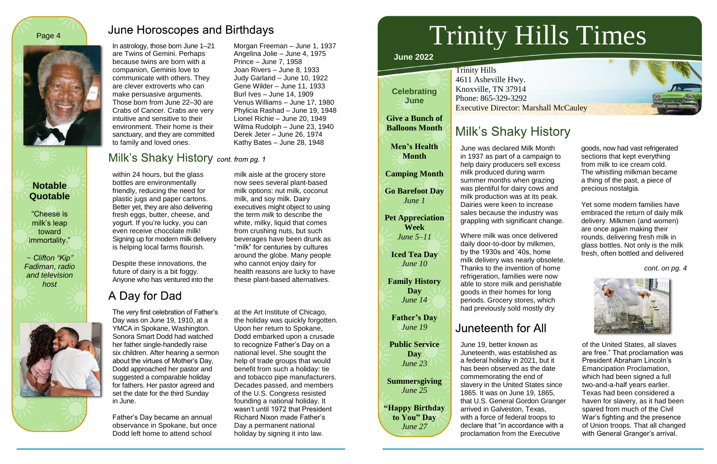In astrology, those born June 1–21 are Twins of Gemini. Perhaps because twins are born with a companion, Geminis love to communicate with others. They are clever extroverts who can make persuasive arguments. Those born from June 22–30 are Crabs of Cancer. Crabs are very intuitive and sensitive to their environment. Their home is their sanctuary, and they are committed to family and loved ones.

Morgan Freeman – June 1, 1937

### Milk's Shaky History cont. from pg. 1

Angelina Jolie – June 4, 1975 Prince – June 7, 1958 Joan Rivers – June 8, 1933 Judy Garland – June 10, 1922 Gene Wilder – June 11, 1933 Burl Ives – June 14, 1909 Venus Williams – June 17, 1980 Phylicia Rashad – June 19, 1948 Lionel Richie – June 20, 1949 Wilma Rudolph – June 23, 1940 Derek Jeter – June 26, 1974 Kathy Bates – June 28, 1948

within 24 hours, but the glass bottles are environmentally friendly, reducing the need for plastic jugs and paper cartons. Better yet, they are also delivering fresh eggs, butter, cheese, and yogurt. If you're lucky, you can even receive chocolate milk! Signing up for modern milk delivery is helping local farms flourish.

Despite these innovations, the future of dairy is a bit foggy. Anyone who has ventured into the

## A Day for Dad

Trinity Hills 4611 Asheville Hwy. Knoxville, TN 37914 Phone: 865-329-3292 **Executive Director: Marshall McCauley** 

# **Milk's Shaky History**

milk aisle at the grocery store now sees several plant-based milk options: nut milk, coconut milk, and soy milk. Dairy executives might object to using the term *milk* to describe the white, milky, liquid that comes from crushing nuts, but such beverages have been drunk as "milk" for centuries by cultures around the globe. Many people who cannot enjoy dairy for health reasons are lucky to have these plant-based alternatives.

The very first celebration of Father's Day was on June 19, 1910, at a YMCA in Spokane, Washington. Sonora Smart Dodd had watched her father single-handedly raise six children. After hearing a sermon about the virtues of Mother's Day, Dodd approached her pastor and suggested a comparable holiday for fathers. Her pastor agreed and set the date for the third Sunday in June.

Father's Day became an annual observance in Spokane, but once Dodd left home to attend school

at the Art Institute of Chicago, the holiday was quickly forgotten. Upon her return to Spokane, Dodd embarked upon a crusade to recognize Father's Day on a national level. She sought the help of trade groups that would benefit from such a holiday: tie and tobacco pipe manufacturers. Decades passed, and members of the U.S. Congress resisted founding a national holiday. It wasn't until 1972 that President Richard Nixon made Father's Day a permanent national holiday by signing it into law.

### **Notable Quotable**

"Cheese is milk's leap toward immortality."

~ *Clifton "Kip" Fadiman, radio and television host*



### **June Horoscopes and Birthdays**





**June 2022**

# Trinity Hills Times

**Celebrating June**

**Give a Bunch of Balloons Month**

**Men's Health Month**

**Camping Month** 

**Go Barefoot Day** *June 1*

**Pet Appreciation Week** *June 5–11*

**Iced Tea Day** *June 10*

**Family History Day** *June 14*

**Father's Day** *June 19*

**Public Service Day** *June 23*

**Summersgiving** *June 25*

**"Happy Birthday to You" Day** *June 27*

June was declared Milk Month in 1937 as part of a campaign to help dairy producers sell excess milk produced during warm summer months when grazing was plentiful for dairy cows and milk production was at its peak. Dairies were keen to increase sales because the industry was grappling with significant change.

Where milk was once delivered daily door-to-door by milkmen, by the 1930s and '40s, home milk delivery was nearly obsolete. Thanks to the invention of home refrigeration, families were now able to store milk and perishable goods in their homes for long periods. Grocery stores, which had previously sold mostly dry

# Juneteenth for All

goods, now had vast refrigerated sections that kept everything from milk to ice cream cold. The whistling milkman became a thing of the past, a piece of precious nostalgia.

Yet some modern families have embraced the return of daily milk delivery. Milkmen (and women) are once again making their rounds, delivering fresh milk in glass bottles. Not only is the milk fresh, often bottled and delivered

*cont. on pg. 4*



June 19, better known as Juneteenth, was established as a federal holiday in 2021, but it has been observed as the date commemorating the end of slavery in the United States since 1865. It was on June 19, 1865, that U.S. General Gordon Granger arrived in Galveston, Texas, with a force of federal troops to declare that "in accordance with a proclamation from the Executive

of the United States, all slaves are free." That proclamation was President Abraham Lincoln's Emancipation Proclamation, which had been signed a full two-and-a-half years earlier. Texas had been considered a haven for slavery, as it had been spared from much of the Civil War's fighting and the presence of Union troops. That all changed with General Granger's arrival.